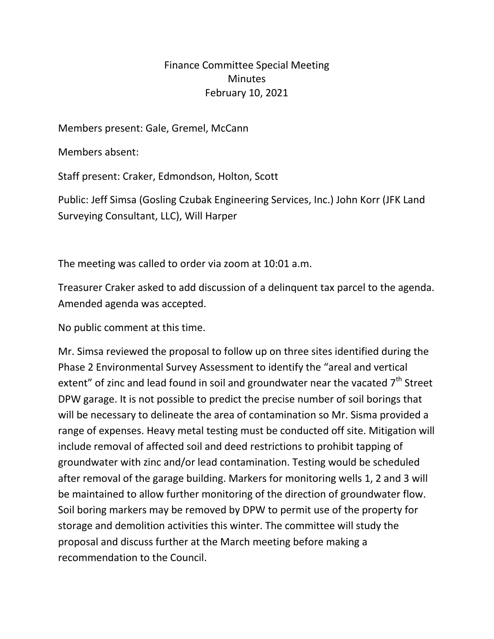## Finance Committee Special Meeting **Minutes** February 10, 2021

Members present: Gale, Gremel, McCann

Members absent:

Staff present: Craker, Edmondson, Holton, Scott

Public: Jeff Simsa (Gosling Czubak Engineering Services, Inc.) John Korr (JFK Land Surveying Consultant, LLC), Will Harper

The meeting was called to order via zoom at 10:01 a.m.

Treasurer Craker asked to add discussion of a delinquent tax parcel to the agenda. Amended agenda was accepted.

No public comment at this time.

Mr. Simsa reviewed the proposal to follow up on three sites identified during the Phase 2 Environmental Survey Assessment to identify the "areal and vertical extent" of zinc and lead found in soil and groundwater near the vacated  $7<sup>th</sup>$  Street DPW garage. It is not possible to predict the precise number of soil borings that will be necessary to delineate the area of contamination so Mr. Sisma provided a range of expenses. Heavy metal testing must be conducted off site. Mitigation will include removal of affected soil and deed restrictions to prohibit tapping of groundwater with zinc and/or lead contamination. Testing would be scheduled after removal of the garage building. Markers for monitoring wells 1, 2 and 3 will be maintained to allow further monitoring of the direction of groundwater flow. Soil boring markers may be removed by DPW to permit use of the property for storage and demolition activities this winter. The committee will study the proposal and discuss further at the March meeting before making a recommendation to the Council.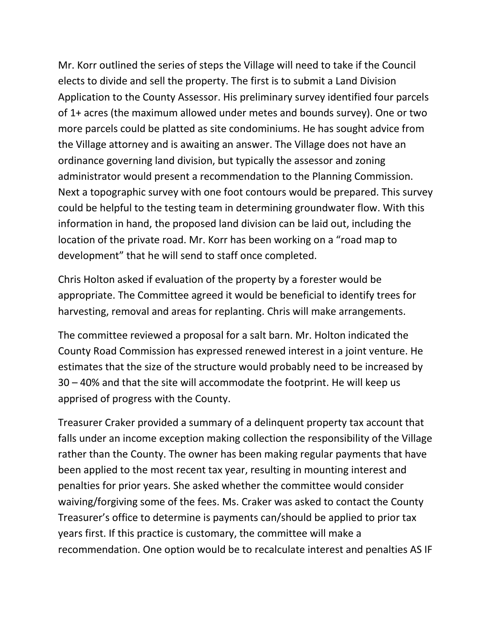Mr. Korr outlined the series of steps the Village will need to take if the Council elects to divide and sell the property. The first is to submit a Land Division Application to the County Assessor. His preliminary survey identified four parcels of 1+ acres (the maximum allowed under metes and bounds survey). One or two more parcels could be platted as site condominiums. He has sought advice from the Village attorney and is awaiting an answer. The Village does not have an ordinance governing land division, but typically the assessor and zoning administrator would present a recommendation to the Planning Commission. Next a topographic survey with one foot contours would be prepared. This survey could be helpful to the testing team in determining groundwater flow. With this information in hand, the proposed land division can be laid out, including the location of the private road. Mr. Korr has been working on a "road map to development" that he will send to staff once completed.

Chris Holton asked if evaluation of the property by a forester would be appropriate. The Committee agreed it would be beneficial to identify trees for harvesting, removal and areas for replanting. Chris will make arrangements.

The committee reviewed a proposal for a salt barn. Mr. Holton indicated the County Road Commission has expressed renewed interest in a joint venture. He estimates that the size of the structure would probably need to be increased by 30 – 40% and that the site will accommodate the footprint. He will keep us apprised of progress with the County.

Treasurer Craker provided a summary of a delinquent property tax account that falls under an income exception making collection the responsibility of the Village rather than the County. The owner has been making regular payments that have been applied to the most recent tax year, resulting in mounting interest and penalties for prior years. She asked whether the committee would consider waiving/forgiving some of the fees. Ms. Craker was asked to contact the County Treasurer's office to determine is payments can/should be applied to prior tax years first. If this practice is customary, the committee will make a recommendation. One option would be to recalculate interest and penalties AS IF